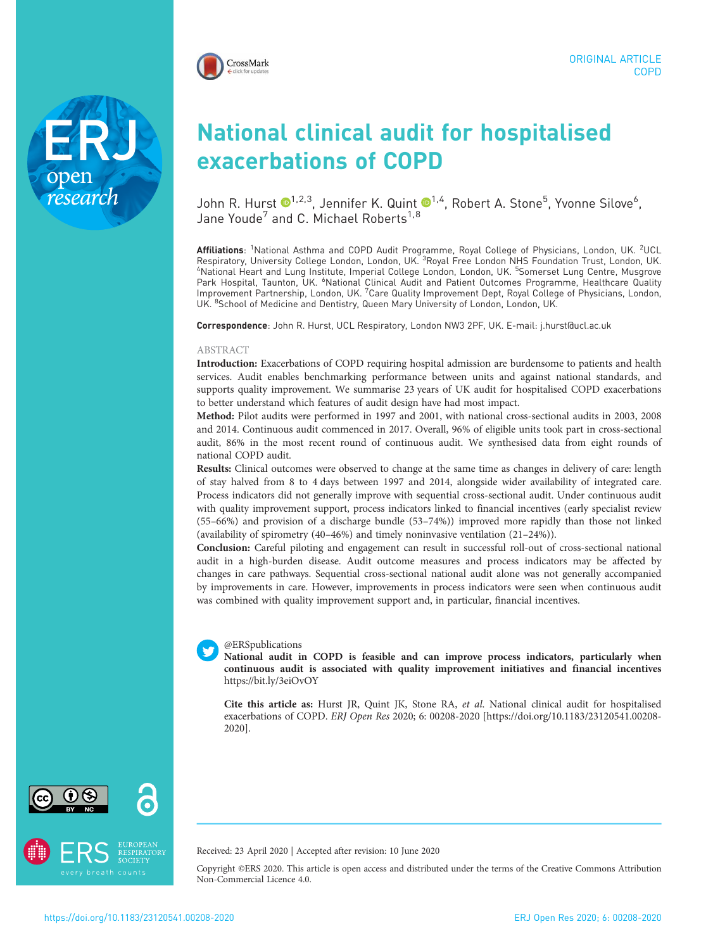

National clinical audit for hospitalised exacerbations of COPD

John R. Hurst  $\mathbf{O}^{1,2,3}$  $\mathbf{O}^{1,2,3}$  $\mathbf{O}^{1,2,3}$ , Jennifer K. Quint  $\mathbf{O}^{1,4}$ , Robert A. Stone $^5$ , Yvonne Silove $^6$ , Jane Youde<sup>7</sup> and C. Michael Roberts<sup>1,8</sup>

**Affiliations**: <sup>1</sup>National Asthma and COPD Audit Programme, Royal College of Physicians, London, UK. <sup>2</sup>UCL Respiratory, University College London, London, UK. <sup>3</sup>Royal Free London NHS Foundation Trust, London, UK.<br>"National Heart and Lung Institute, Imperial College London, London, UK. <sup>5</sup>Somerset Lung Centre, Musgrove Park Hospital, Taunton, UK. <sup>6</sup>National Clinical Audit and Patient Outcomes Programme, Healthcare Quality Improvement Partnership, London, UK. <sup>7</sup>Care Quality Improvement Dept, Royal College of Physicians, London, UK. <sup>8</sup>School of Medicine and Dentistry, Queen Mary University of London, London, UK.

Correspondence: John R. Hurst, UCL Respiratory, London NW3 2PF, UK. E-mail: [j.hurst@ucl.ac.uk](mailto:j.hurst@ucl.ac.uk)

#### ABSTRACT

Introduction: Exacerbations of COPD requiring hospital admission are burdensome to patients and health services. Audit enables benchmarking performance between units and against national standards, and supports quality improvement. We summarise 23 years of UK audit for hospitalised COPD exacerbations to better understand which features of audit design have had most impact.

Method: Pilot audits were performed in 1997 and 2001, with national cross-sectional audits in 2003, 2008 and 2014. Continuous audit commenced in 2017. Overall, 96% of eligible units took part in cross-sectional audit, 86% in the most recent round of continuous audit. We synthesised data from eight rounds of national COPD audit.

Results: Clinical outcomes were observed to change at the same time as changes in delivery of care: length of stay halved from 8 to 4 days between 1997 and 2014, alongside wider availability of integrated care. Process indicators did not generally improve with sequential cross-sectional audit. Under continuous audit with quality improvement support, process indicators linked to financial incentives (early specialist review (55–66%) and provision of a discharge bundle (53–74%)) improved more rapidly than those not linked (availability of spirometry (40–46%) and timely noninvasive ventilation (21–24%)).

Conclusion: Careful piloting and engagement can result in successful roll-out of cross-sectional national audit in a high-burden disease. Audit outcome measures and process indicators may be affected by changes in care pathways. Sequential cross-sectional national audit alone was not generally accompanied by improvements in care. However, improvements in process indicators were seen when continuous audit was combined with quality improvement support and, in particular, financial incentives.

#### @ERSpublications

National audit in COPD is feasible and can improve process indicators, particularly when continuous audit is associated with quality improvement initiatives and financial incentives <https://bit.ly/3eiOvOY>

Cite this article as: Hurst JR, Quint JK, Stone RA, et al. National clinical audit for hospitalised exacerbations of COPD. ERJ Open Res 2020; 6: 00208-2020 [\[https://doi.org/10.1183/23120541.00208-](https://doi.org/10.1183/23120541.00208-2020) [2020\].](https://doi.org/10.1183/23120541.00208-2020)



research



Received: 23 April 2020 | Accepted after revision: 10 June 2020

Copyright ©ERS 2020. This article is open access and distributed under the terms of the Creative Commons Attribution Non-Commercial Licence 4.0.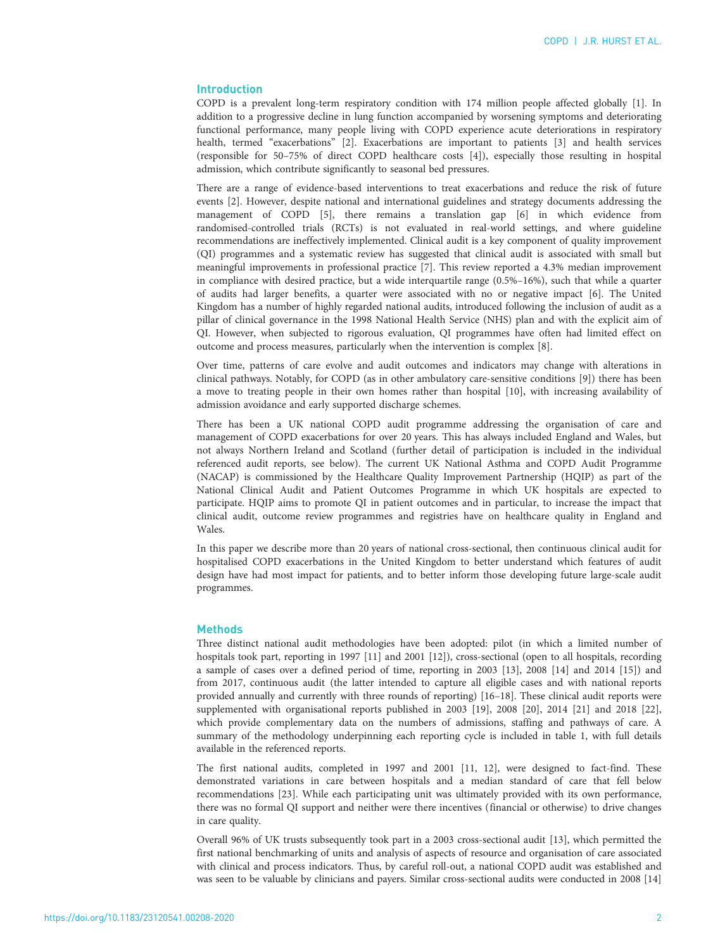# Introduction

COPD is a prevalent long-term respiratory condition with 174 million people affected globally [\[1\]](#page-8-0). In addition to a progressive decline in lung function accompanied by worsening symptoms and deteriorating functional performance, many people living with COPD experience acute deteriorations in respiratory health, termed "exacerbations" [[2](#page-8-0)]. Exacerbations are important to patients [[3](#page-8-0)] and health services (responsible for 50–75% of direct COPD healthcare costs [\[4\]](#page-8-0)), especially those resulting in hospital admission, which contribute significantly to seasonal bed pressures.

There are a range of evidence-based interventions to treat exacerbations and reduce the risk of future events [\[2](#page-8-0)]. However, despite national and international guidelines and strategy documents addressing the management of COPD [\[5\]](#page-8-0), there remains a translation gap [\[6\]](#page-8-0) in which evidence from randomised-controlled trials (RCTs) is not evaluated in real-world settings, and where guideline recommendations are ineffectively implemented. Clinical audit is a key component of quality improvement (QI) programmes and a systematic review has suggested that clinical audit is associated with small but meaningful improvements in professional practice [\[7\]](#page-8-0). This review reported a 4.3% median improvement in compliance with desired practice, but a wide interquartile range (0.5%–16%), such that while a quarter of audits had larger benefits, a quarter were associated with no or negative impact [\[6](#page-8-0)]. The United Kingdom has a number of highly regarded national audits, introduced following the inclusion of audit as a pillar of clinical governance in the 1998 National Health Service (NHS) plan and with the explicit aim of QI. However, when subjected to rigorous evaluation, QI programmes have often had limited effect on outcome and process measures, particularly when the intervention is complex [\[8\]](#page-8-0).

Over time, patterns of care evolve and audit outcomes and indicators may change with alterations in clinical pathways. Notably, for COPD (as in other ambulatory care-sensitive conditions [[9](#page-8-0)]) there has been a move to treating people in their own homes rather than hospital [\[10](#page-8-0)], with increasing availability of admission avoidance and early supported discharge schemes.

There has been a UK national COPD audit programme addressing the organisation of care and management of COPD exacerbations for over 20 years. This has always included England and Wales, but not always Northern Ireland and Scotland (further detail of participation is included in the individual referenced audit reports, see below). The current UK National Asthma and COPD Audit Programme (NACAP) is commissioned by the Healthcare Quality Improvement Partnership (HQIP) as part of the National Clinical Audit and Patient Outcomes Programme in which UK hospitals are expected to participate. HQIP aims to promote QI in patient outcomes and in particular, to increase the impact that clinical audit, outcome review programmes and registries have on healthcare quality in England and Wales.

In this paper we describe more than 20 years of national cross-sectional, then continuous clinical audit for hospitalised COPD exacerbations in the United Kingdom to better understand which features of audit design have had most impact for patients, and to better inform those developing future large-scale audit programmes.

#### **Methods**

Three distinct national audit methodologies have been adopted: pilot (in which a limited number of hospitals took part, reporting in 1997 [\[11\]](#page-8-0) and 2001 [\[12\]](#page-8-0)), cross-sectional (open to all hospitals, recording a sample of cases over a defined period of time, reporting in 2003 [\[13](#page-8-0)], 2008 [[14\]](#page-8-0) and 2014 [[15](#page-9-0)]) and from 2017, continuous audit (the latter intended to capture all eligible cases and with national reports provided annually and currently with three rounds of reporting) [[16](#page-9-0)–[18\]](#page-9-0). These clinical audit reports were supplemented with organisational reports published in 2003 [\[19\]](#page-9-0), 2008 [\[20](#page-9-0)], 2014 [\[21](#page-9-0)] and 2018 [\[22\]](#page-9-0), which provide complementary data on the numbers of admissions, staffing and pathways of care. A summary of the methodology underpinning each reporting cycle is included in [table 1](#page-2-0), with full details available in the referenced reports.

The first national audits, completed in 1997 and 2001 [\[11, 12\]](#page-8-0), were designed to fact-find. These demonstrated variations in care between hospitals and a median standard of care that fell below recommendations [\[23\]](#page-9-0). While each participating unit was ultimately provided with its own performance, there was no formal QI support and neither were there incentives (financial or otherwise) to drive changes in care quality.

Overall 96% of UK trusts subsequently took part in a 2003 cross-sectional audit [\[13\]](#page-8-0), which permitted the first national benchmarking of units and analysis of aspects of resource and organisation of care associated with clinical and process indicators. Thus, by careful roll-out, a national COPD audit was established and was seen to be valuable by clinicians and payers. Similar cross-sectional audits were conducted in 2008 [\[14\]](#page-8-0)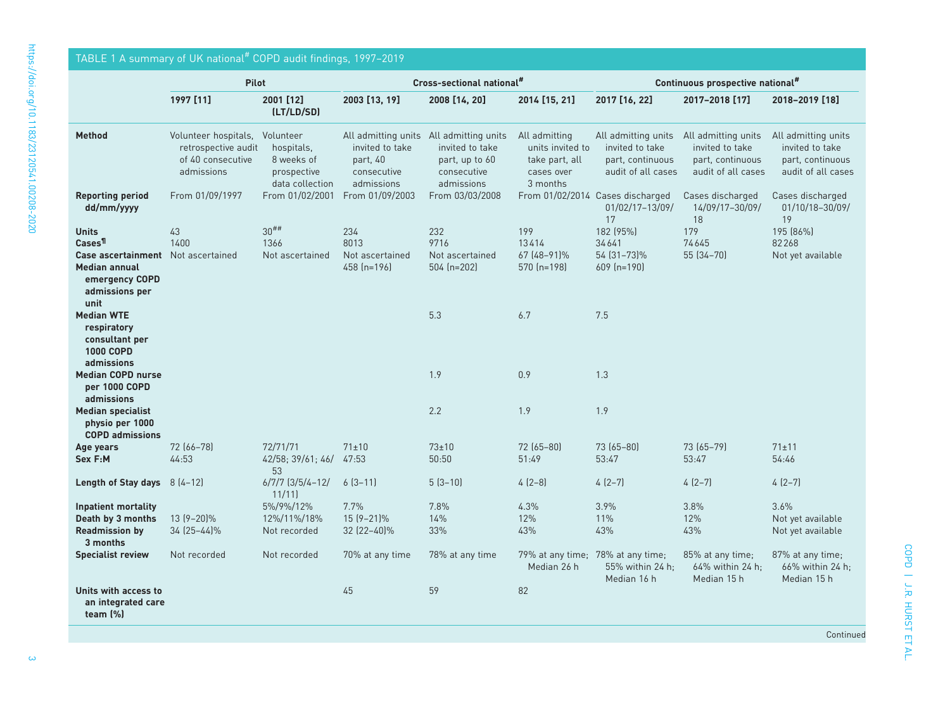<span id="page-2-0"></span>

| TABLE 1 A summary of UK national# COPD audit findings, 1997-2019                                                                     |                                                                                |                                                                         |                                                          |                                                                                                           |                                                                               |                                                                                                      |                                                           |                                                                                  |  |  |
|--------------------------------------------------------------------------------------------------------------------------------------|--------------------------------------------------------------------------------|-------------------------------------------------------------------------|----------------------------------------------------------|-----------------------------------------------------------------------------------------------------------|-------------------------------------------------------------------------------|------------------------------------------------------------------------------------------------------|-----------------------------------------------------------|----------------------------------------------------------------------------------|--|--|
|                                                                                                                                      | <b>Pilot</b>                                                                   |                                                                         | Cross-sectional national#                                |                                                                                                           |                                                                               | Continuous prospective national#                                                                     |                                                           |                                                                                  |  |  |
|                                                                                                                                      | 1997 [11]                                                                      | 2001 [12]<br>(LT/LD/SD)                                                 | 2003 [13, 19]                                            | 2008 [14, 20]                                                                                             | 2014 [15, 21]                                                                 | 2017 [16, 22]                                                                                        | 2017-2018 [17]                                            | 2018-2019 [18]                                                                   |  |  |
| <b>Method</b>                                                                                                                        | Volunteer hospitals,<br>retrospective audit<br>of 40 consecutive<br>admissions | Volunteer<br>hospitals,<br>8 weeks of<br>prospective<br>data collection | invited to take<br>part, 40<br>consecutive<br>admissions | All admitting units All admitting units<br>invited to take<br>part, up to 60<br>consecutive<br>admissions | All admitting<br>units invited to<br>take part, all<br>cases over<br>3 months | All admitting units All admitting units<br>invited to take<br>part. continuous<br>audit of all cases | invited to take<br>part. continuous<br>audit of all cases | All admitting units<br>invited to take<br>part. continuous<br>audit of all cases |  |  |
| <b>Reporting period</b><br>dd/mm/yyyy                                                                                                | From 01/09/1997                                                                | From 01/02/2001                                                         | From 01/09/2003                                          | From 03/03/2008                                                                                           |                                                                               | From 01/02/2014 Cases discharged<br>01/02/17-13/09/<br>17                                            | Cases discharged<br>14/09/17-30/09/<br>18                 | Cases discharged<br>01/10/18-30/09/<br>19                                        |  |  |
| <b>Units</b><br>Cases <sup>¶</sup><br>Case ascertainment Not ascertained<br><b>Median annual</b><br>emergency COPD<br>admissions per | 43<br>1400                                                                     | $30^{##}$<br>1366<br>Not ascertained                                    | 234<br>8013<br>Not ascertained<br>458 $[n=196]$          | 232<br>9716<br>Not ascertained<br>$504$ (n=202)                                                           | 199<br>13414<br>67 (48-91)%<br>570 (n=198)                                    | 182 (95%)<br>34641<br>54 (31-73)%<br>$609$ (n=190)                                                   | 179<br>74645<br>55 (34-70)                                | 195 (86%)<br>82268<br>Not yet available                                          |  |  |
| unit<br><b>Median WTE</b><br>respiratory<br>consultant per<br>1000 COPD<br>admissions                                                |                                                                                |                                                                         |                                                          | 5.3                                                                                                       | 6.7                                                                           | 7.5                                                                                                  |                                                           |                                                                                  |  |  |
| <b>Median COPD nurse</b><br>per 1000 COPD<br>admissions                                                                              |                                                                                |                                                                         |                                                          | 1.9                                                                                                       | 0.9                                                                           | 1.3                                                                                                  |                                                           |                                                                                  |  |  |
| <b>Median specialist</b><br>physio per 1000<br><b>COPD admissions</b>                                                                |                                                                                |                                                                         |                                                          | 2.2                                                                                                       | 1.9                                                                           | 1.9                                                                                                  |                                                           |                                                                                  |  |  |
| Age years<br>Sex F:M                                                                                                                 | 72 (66-78)<br>44:53                                                            | 72/71/71<br>42/58; 39/61; 46/<br>53                                     | $71 \pm 10$<br>47:53                                     | $73\pm10$<br>50:50                                                                                        | $72(65 - 80)$<br>51:49                                                        | 73 (65-80)<br>53:47                                                                                  | 73 (65-79)<br>53:47                                       | $71 \pm 11$<br>54:46                                                             |  |  |
| Length of Stay days 8 (4-12)                                                                                                         |                                                                                | $6/7/7$ $(3/5/4-12/$<br>11/11                                           | $6(3-11)$                                                | $5(3-10)$                                                                                                 | $4(2-8)$                                                                      | $4(2-7)$                                                                                             | $4(2-7)$                                                  | $4(2-7)$                                                                         |  |  |
| <b>Inpatient mortality</b><br>Death by 3 months<br><b>Readmission by</b><br>3 months                                                 | 13 (9-20)%<br>34 (25–44)%                                                      | 5%/9%/12%<br>12%/11%/18%<br>Not recorded                                | 7.7%<br>$15(9-21)\%$<br>32 (22-40)%                      | 7.8%<br>14%<br>33%                                                                                        | 4.3%<br>12%<br>43%                                                            | 3.9%<br>11%<br>43%                                                                                   | 3.8%<br>12%<br>43%                                        | 3.6%<br>Not yet available<br>Not yet available                                   |  |  |
| <b>Specialist review</b>                                                                                                             | Not recorded                                                                   | Not recorded                                                            | 70% at any time                                          | 78% at any time                                                                                           | 79% at any time; 78% at any time;<br>Median 26 h                              | 55% within 24 h:<br>Median 16 h                                                                      | 85% at any time;<br>64% within 24 h;<br>Median 15 h       | 87% at any time;<br>66% within 24 h;<br>Median 15 h                              |  |  |
| Units with access to<br>an integrated care<br>team $(\%)$                                                                            |                                                                                |                                                                         | 45                                                       | 59                                                                                                        | 82                                                                            |                                                                                                      |                                                           |                                                                                  |  |  |

Continued

COPD | J.R. HURST ET AL.

COPD | J.R. HURST ET AL.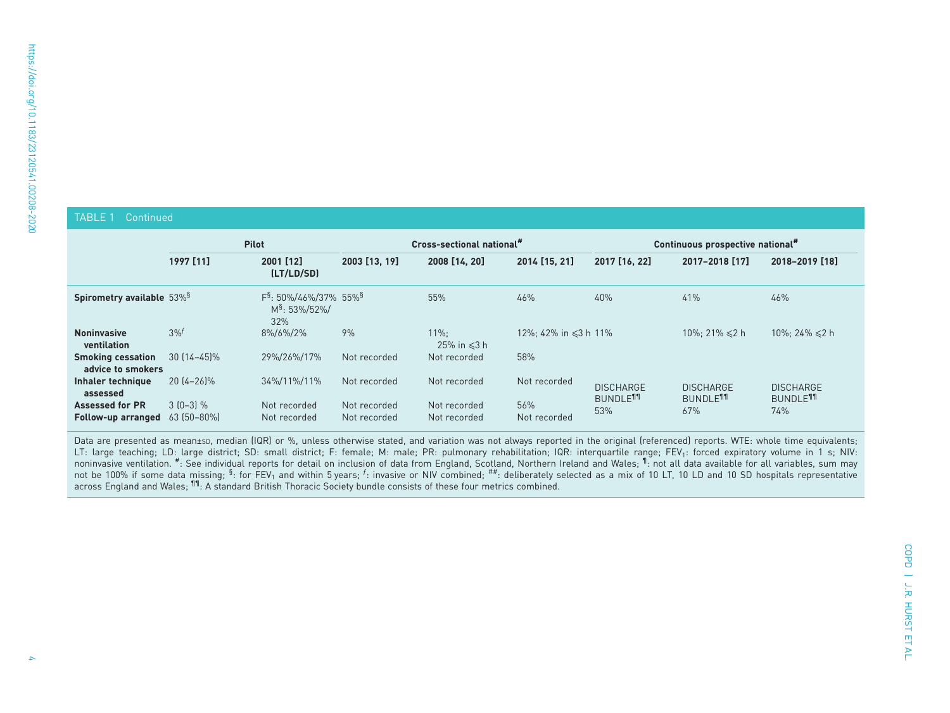### TABLE 1 Continued

|                                               | <b>Pilot</b>              |                                                                        | Cross-sectional national"    |                               |                            | Continuous prospective national"               |                                                |                                          |
|-----------------------------------------------|---------------------------|------------------------------------------------------------------------|------------------------------|-------------------------------|----------------------------|------------------------------------------------|------------------------------------------------|------------------------------------------|
|                                               | 1997 [11]                 | 2001 [12]<br>(LT/LD/SD)                                                | 2003 [13, 19]                | 2008 [14, 20]                 | 2014 [15, 21]              | 2017 [16, 22]                                  | 2017-2018 [17]                                 | 2018-2019 [18]                           |
| Spirometry available 53% <sup>§</sup>         |                           | $F^{\$}$ : 50%/46%/37% 55% $^{\$}$<br>M <sup>§</sup> : 53%/52%/<br>32% |                              | 55%                           | 46%                        | 40%                                            | 41%                                            | 46%                                      |
| <b>Noninvasive</b><br>ventilation             | 3%                        | 8%/6%/2%                                                               | 9%                           | $11\%$ :<br>25% in $\leq 3$ h | 12%: 42% in $\leq 3$ h 11% |                                                | $10\%: 21\% \leq 2 h$                          | 10%; 24% $\leq 2$ h                      |
| <b>Smoking cessation</b><br>advice to smokers | $30[14-45]\%$             | 29%/26%/17%                                                            | Not recorded                 | Not recorded                  | 58%                        |                                                |                                                |                                          |
| Inhaler technique<br>assessed                 | $20[4-26]\%$              | 34%/11%/11%                                                            | Not recorded                 | Not recorded                  | Not recorded               | <b>DISCHARGE</b><br><b>BUNDLE<sup>11</sup></b> | <b>DISCHARGE</b><br><b>BUNDLE<sup>11</sup></b> | <b>DISCHARGE</b><br>BUNDLE <sup>11</sup> |
| <b>Assessed for PR</b><br>Follow-up arranged  | $3(0-3)\%$<br>63 (50-80%) | Not recorded<br>Not recorded                                           | Not recorded<br>Not recorded | Not recorded<br>Not recorded  | 56%<br>Not recorded        | 53%                                            | 67%                                            | 74%                                      |

Data are presented as mean±sp, median (IQR) or %, unless otherwise stated, and variation was not always reported in the original (referenced) reports. WTE: whole time equivalents; LT: large teaching; LD: large district; SD: small district; F: female; M: male; PR: pulmonary rehabilitation; IQR: interquartile range; FEV<sub>1</sub>: forced expiratory volume in 1 s; NIV:<br>noninvasive ventilation. <sup>#</sup>: See indivi not be 100% if some data missing; §: for FEV<sub>1</sub> and within 5 years;  $f$ : invasive or NIV combined; ##: deliberately selected as a mix of 10 LT, 10 LD and 10 SD hospitals representative across England and Wales;  $^{\text{11}}$ : A standard British Thoracic Society bundle consists of these four metrics combined.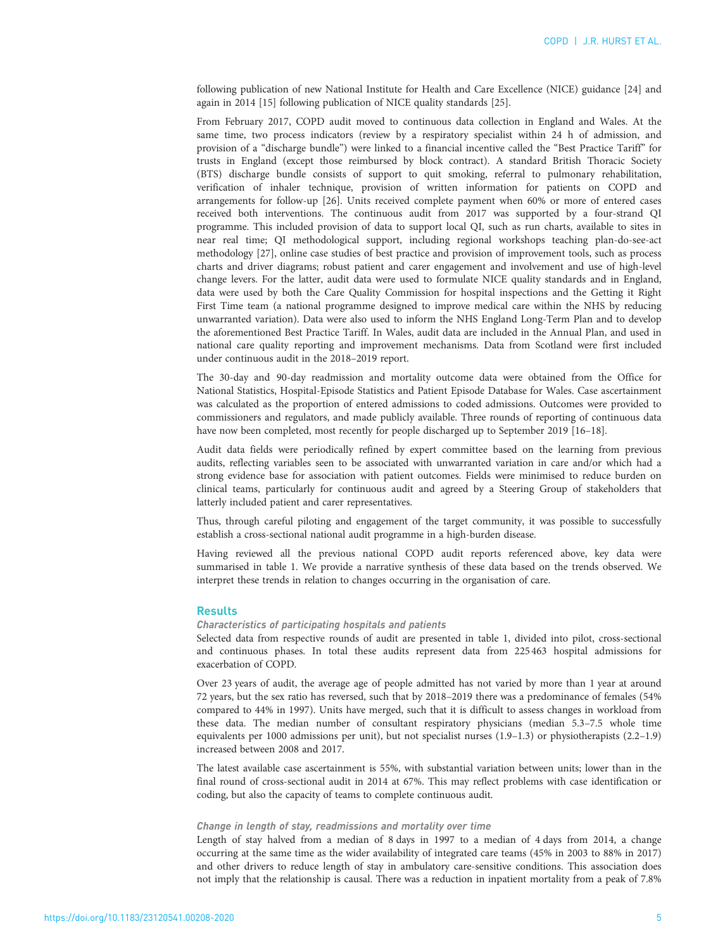following publication of new National Institute for Health and Care Excellence (NICE) guidance [\[24](#page-9-0)] and again in 2014 [\[15\]](#page-9-0) following publication of NICE quality standards [\[25\]](#page-9-0).

From February 2017, COPD audit moved to continuous data collection in England and Wales. At the same time, two process indicators (review by a respiratory specialist within 24 h of admission, and provision of a "discharge bundle") were linked to a financial incentive called the "Best Practice Tariff" for trusts in England (except those reimbursed by block contract). A standard British Thoracic Society (BTS) discharge bundle consists of support to quit smoking, referral to pulmonary rehabilitation, verification of inhaler technique, provision of written information for patients on COPD and arrangements for follow-up [[26](#page-9-0)]. Units received complete payment when 60% or more of entered cases received both interventions. The continuous audit from 2017 was supported by a four-strand QI programme. This included provision of data to support local QI, such as run charts, available to sites in near real time; QI methodological support, including regional workshops teaching plan-do-see-act methodology [[27](#page-9-0)], online case studies of best practice and provision of improvement tools, such as process charts and driver diagrams; robust patient and carer engagement and involvement and use of high-level change levers. For the latter, audit data were used to formulate NICE quality standards and in England, data were used by both the Care Quality Commission for hospital inspections and the Getting it Right First Time team (a national programme designed to improve medical care within the NHS by reducing unwarranted variation). Data were also used to inform the NHS England Long-Term Plan and to develop the aforementioned Best Practice Tariff. In Wales, audit data are included in the Annual Plan, and used in national care quality reporting and improvement mechanisms. Data from Scotland were first included under continuous audit in the 2018–2019 report.

The 30-day and 90-day readmission and mortality outcome data were obtained from the Office for National Statistics, Hospital-Episode Statistics and Patient Episode Database for Wales. Case ascertainment was calculated as the proportion of entered admissions to coded admissions. Outcomes were provided to commissioners and regulators, and made publicly available. Three rounds of reporting of continuous data have now been completed, most recently for people discharged up to September 2019 [[16](#page-9-0)–[18](#page-9-0)].

Audit data fields were periodically refined by expert committee based on the learning from previous audits, reflecting variables seen to be associated with unwarranted variation in care and/or which had a strong evidence base for association with patient outcomes. Fields were minimised to reduce burden on clinical teams, particularly for continuous audit and agreed by a Steering Group of stakeholders that latterly included patient and carer representatives.

Thus, through careful piloting and engagement of the target community, it was possible to successfully establish a cross-sectional national audit programme in a high-burden disease.

Having reviewed all the previous national COPD audit reports referenced above, key data were summarised in [table 1](#page-2-0). We provide a narrative synthesis of these data based on the trends observed. We interpret these trends in relation to changes occurring in the organisation of care.

#### **Results**

### Characteristics of participating hospitals and patients

Selected data from respective rounds of audit are presented in [table 1,](#page-2-0) divided into pilot, cross-sectional and continuous phases. In total these audits represent data from 225463 hospital admissions for exacerbation of COPD.

Over 23 years of audit, the average age of people admitted has not varied by more than 1 year at around 72 years, but the sex ratio has reversed, such that by 2018–2019 there was a predominance of females (54% compared to 44% in 1997). Units have merged, such that it is difficult to assess changes in workload from these data. The median number of consultant respiratory physicians (median 5.3–7.5 whole time equivalents per 1000 admissions per unit), but not specialist nurses (1.9–1.3) or physiotherapists (2.2–1.9) increased between 2008 and 2017.

The latest available case ascertainment is 55%, with substantial variation between units; lower than in the final round of cross-sectional audit in 2014 at 67%. This may reflect problems with case identification or coding, but also the capacity of teams to complete continuous audit.

#### Change in length of stay, readmissions and mortality over time

Length of stay halved from a median of 8 days in 1997 to a median of 4 days from 2014, a change occurring at the same time as the wider availability of integrated care teams (45% in 2003 to 88% in 2017) and other drivers to reduce length of stay in ambulatory care-sensitive conditions. This association does not imply that the relationship is causal. There was a reduction in inpatient mortality from a peak of 7.8%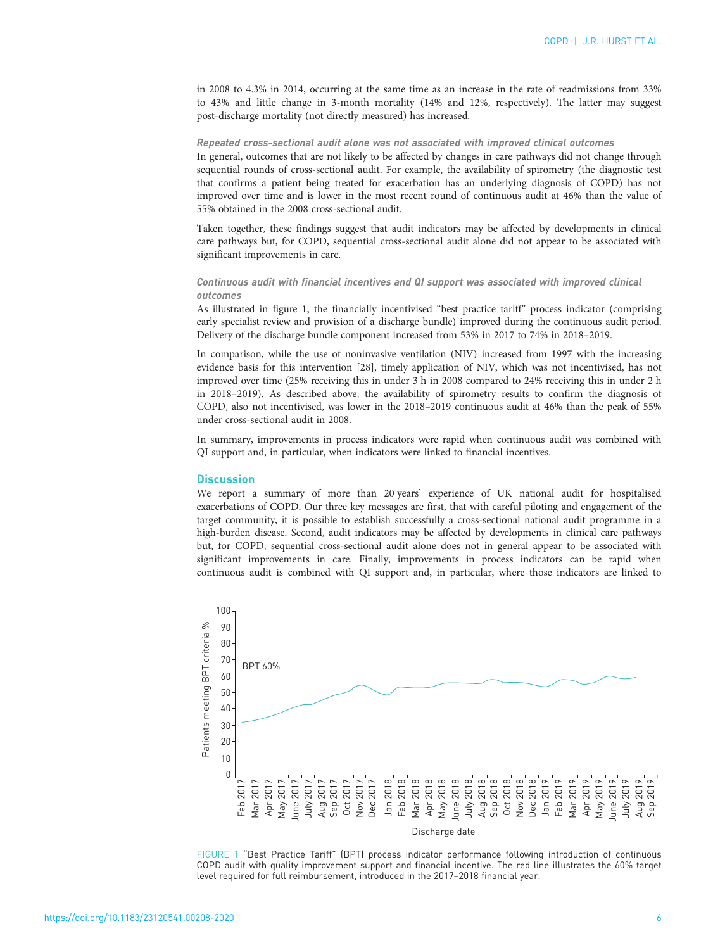in 2008 to 4.3% in 2014, occurring at the same time as an increase in the rate of readmissions from 33% to 43% and little change in 3-month mortality (14% and 12%, respectively). The latter may suggest post-discharge mortality (not directly measured) has increased.

## Repeated cross-sectional audit alone was not associated with improved clinical outcomes

In general, outcomes that are not likely to be affected by changes in care pathways did not change through sequential rounds of cross-sectional audit. For example, the availability of spirometry (the diagnostic test that confirms a patient being treated for exacerbation has an underlying diagnosis of COPD) has not improved over time and is lower in the most recent round of continuous audit at 46% than the value of 55% obtained in the 2008 cross-sectional audit.

Taken together, these findings suggest that audit indicators may be affected by developments in clinical care pathways but, for COPD, sequential cross-sectional audit alone did not appear to be associated with significant improvements in care.

### Continuous audit with financial incentives and QI support was associated with improved clinical outcomes

As illustrated in figure 1, the financially incentivised "best practice tariff" process indicator (comprising early specialist review and provision of a discharge bundle) improved during the continuous audit period. Delivery of the discharge bundle component increased from 53% in 2017 to 74% in 2018–2019.

In comparison, while the use of noninvasive ventilation (NIV) increased from 1997 with the increasing evidence basis for this intervention [\[28\]](#page-9-0), timely application of NIV, which was not incentivised, has not improved over time (25% receiving this in under 3 h in 2008 compared to 24% receiving this in under 2 h in 2018–2019). As described above, the availability of spirometry results to confirm the diagnosis of COPD, also not incentivised, was lower in the 2018–2019 continuous audit at 46% than the peak of 55% under cross-sectional audit in 2008.

In summary, improvements in process indicators were rapid when continuous audit was combined with QI support and, in particular, when indicators were linked to financial incentives.

### **Discussion**

We report a summary of more than 20 years' experience of UK national audit for hospitalised exacerbations of COPD. Our three key messages are first, that with careful piloting and engagement of the target community, it is possible to establish successfully a cross-sectional national audit programme in a high-burden disease. Second, audit indicators may be affected by developments in clinical care pathways but, for COPD, sequential cross-sectional audit alone does not in general appear to be associated with significant improvements in care. Finally, improvements in process indicators can be rapid when continuous audit is combined with QI support and, in particular, where those indicators are linked to



FIGURE 1 "Best Practice Tariff" (BPT) process indicator performance following introduction of continuous COPD audit with quality improvement support and financial incentive. The red line illustrates the 60% target level required for full reimbursement, introduced in the 2017–2018 financial year.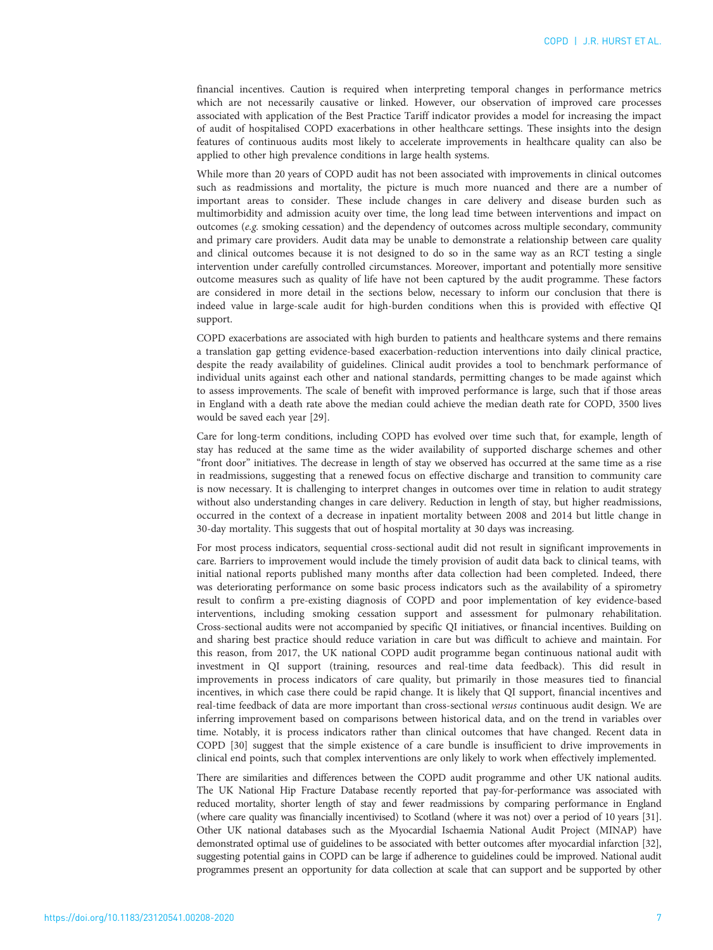financial incentives. Caution is required when interpreting temporal changes in performance metrics which are not necessarily causative or linked. However, our observation of improved care processes associated with application of the Best Practice Tariff indicator provides a model for increasing the impact of audit of hospitalised COPD exacerbations in other healthcare settings. These insights into the design features of continuous audits most likely to accelerate improvements in healthcare quality can also be applied to other high prevalence conditions in large health systems.

While more than 20 years of COPD audit has not been associated with improvements in clinical outcomes such as readmissions and mortality, the picture is much more nuanced and there are a number of important areas to consider. These include changes in care delivery and disease burden such as multimorbidity and admission acuity over time, the long lead time between interventions and impact on outcomes ( $e.g.$  smoking cessation) and the dependency of outcomes across multiple secondary, community and primary care providers. Audit data may be unable to demonstrate a relationship between care quality and clinical outcomes because it is not designed to do so in the same way as an RCT testing a single intervention under carefully controlled circumstances. Moreover, important and potentially more sensitive outcome measures such as quality of life have not been captured by the audit programme. These factors are considered in more detail in the sections below, necessary to inform our conclusion that there is indeed value in large-scale audit for high-burden conditions when this is provided with effective QI support.

COPD exacerbations are associated with high burden to patients and healthcare systems and there remains a translation gap getting evidence-based exacerbation-reduction interventions into daily clinical practice, despite the ready availability of guidelines. Clinical audit provides a tool to benchmark performance of individual units against each other and national standards, permitting changes to be made against which to assess improvements. The scale of benefit with improved performance is large, such that if those areas in England with a death rate above the median could achieve the median death rate for COPD, 3500 lives would be saved each year [[29](#page-9-0)].

Care for long-term conditions, including COPD has evolved over time such that, for example, length of stay has reduced at the same time as the wider availability of supported discharge schemes and other "front door" initiatives. The decrease in length of stay we observed has occurred at the same time as a rise in readmissions, suggesting that a renewed focus on effective discharge and transition to community care is now necessary. It is challenging to interpret changes in outcomes over time in relation to audit strategy without also understanding changes in care delivery. Reduction in length of stay, but higher readmissions, occurred in the context of a decrease in inpatient mortality between 2008 and 2014 but little change in 30-day mortality. This suggests that out of hospital mortality at 30 days was increasing.

For most process indicators, sequential cross-sectional audit did not result in significant improvements in care. Barriers to improvement would include the timely provision of audit data back to clinical teams, with initial national reports published many months after data collection had been completed. Indeed, there was deteriorating performance on some basic process indicators such as the availability of a spirometry result to confirm a pre-existing diagnosis of COPD and poor implementation of key evidence-based interventions, including smoking cessation support and assessment for pulmonary rehabilitation. Cross-sectional audits were not accompanied by specific QI initiatives, or financial incentives. Building on and sharing best practice should reduce variation in care but was difficult to achieve and maintain. For this reason, from 2017, the UK national COPD audit programme began continuous national audit with investment in QI support (training, resources and real-time data feedback). This did result in improvements in process indicators of care quality, but primarily in those measures tied to financial incentives, in which case there could be rapid change. It is likely that QI support, financial incentives and real-time feedback of data are more important than cross-sectional versus continuous audit design. We are inferring improvement based on comparisons between historical data, and on the trend in variables over time. Notably, it is process indicators rather than clinical outcomes that have changed. Recent data in COPD [\[30](#page-9-0)] suggest that the simple existence of a care bundle is insufficient to drive improvements in clinical end points, such that complex interventions are only likely to work when effectively implemented.

There are similarities and differences between the COPD audit programme and other UK national audits. The UK National Hip Fracture Database recently reported that pay-for-performance was associated with reduced mortality, shorter length of stay and fewer readmissions by comparing performance in England (where care quality was financially incentivised) to Scotland (where it was not) over a period of 10 years [\[31\]](#page-9-0). Other UK national databases such as the Myocardial Ischaemia National Audit Project (MINAP) have demonstrated optimal use of guidelines to be associated with better outcomes after myocardial infarction [\[32\]](#page-9-0), suggesting potential gains in COPD can be large if adherence to guidelines could be improved. National audit programmes present an opportunity for data collection at scale that can support and be supported by other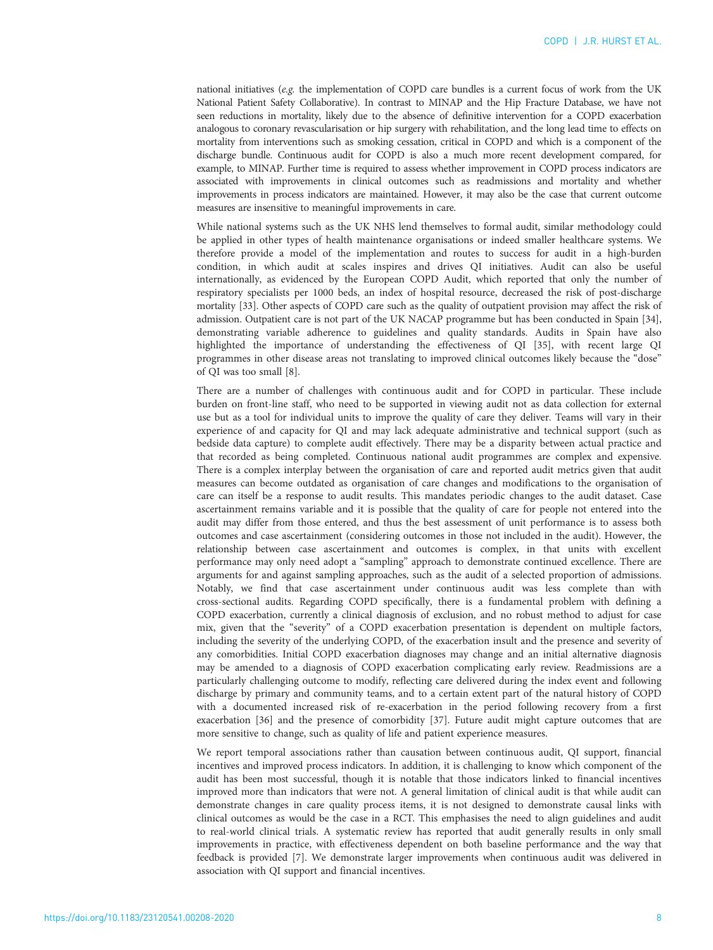national initiatives (e.g. the implementation of COPD care bundles is a current focus of work from the UK National Patient Safety Collaborative). In contrast to MINAP and the Hip Fracture Database, we have not seen reductions in mortality, likely due to the absence of definitive intervention for a COPD exacerbation analogous to coronary revascularisation or hip surgery with rehabilitation, and the long lead time to effects on mortality from interventions such as smoking cessation, critical in COPD and which is a component of the discharge bundle. Continuous audit for COPD is also a much more recent development compared, for example, to MINAP. Further time is required to assess whether improvement in COPD process indicators are associated with improvements in clinical outcomes such as readmissions and mortality and whether improvements in process indicators are maintained. However, it may also be the case that current outcome measures are insensitive to meaningful improvements in care.

While national systems such as the UK NHS lend themselves to formal audit, similar methodology could be applied in other types of health maintenance organisations or indeed smaller healthcare systems. We therefore provide a model of the implementation and routes to success for audit in a high-burden condition, in which audit at scales inspires and drives QI initiatives. Audit can also be useful internationally, as evidenced by the European COPD Audit, which reported that only the number of respiratory specialists per 1000 beds, an index of hospital resource, decreased the risk of post-discharge mortality [[33](#page-9-0)]. Other aspects of COPD care such as the quality of outpatient provision may affect the risk of admission. Outpatient care is not part of the UK NACAP programme but has been conducted in Spain [\[34\]](#page-9-0), demonstrating variable adherence to guidelines and quality standards. Audits in Spain have also highlighted the importance of understanding the effectiveness of QI [[35\]](#page-9-0), with recent large QI programmes in other disease areas not translating to improved clinical outcomes likely because the "dose" of QI was too small [\[8\]](#page-8-0).

There are a number of challenges with continuous audit and for COPD in particular. These include burden on front-line staff, who need to be supported in viewing audit not as data collection for external use but as a tool for individual units to improve the quality of care they deliver. Teams will vary in their experience of and capacity for QI and may lack adequate administrative and technical support (such as bedside data capture) to complete audit effectively. There may be a disparity between actual practice and that recorded as being completed. Continuous national audit programmes are complex and expensive. There is a complex interplay between the organisation of care and reported audit metrics given that audit measures can become outdated as organisation of care changes and modifications to the organisation of care can itself be a response to audit results. This mandates periodic changes to the audit dataset. Case ascertainment remains variable and it is possible that the quality of care for people not entered into the audit may differ from those entered, and thus the best assessment of unit performance is to assess both outcomes and case ascertainment (considering outcomes in those not included in the audit). However, the relationship between case ascertainment and outcomes is complex, in that units with excellent performance may only need adopt a "sampling" approach to demonstrate continued excellence. There are arguments for and against sampling approaches, such as the audit of a selected proportion of admissions. Notably, we find that case ascertainment under continuous audit was less complete than with cross-sectional audits. Regarding COPD specifically, there is a fundamental problem with defining a COPD exacerbation, currently a clinical diagnosis of exclusion, and no robust method to adjust for case mix, given that the "severity" of a COPD exacerbation presentation is dependent on multiple factors, including the severity of the underlying COPD, of the exacerbation insult and the presence and severity of any comorbidities. Initial COPD exacerbation diagnoses may change and an initial alternative diagnosis may be amended to a diagnosis of COPD exacerbation complicating early review. Readmissions are a particularly challenging outcome to modify, reflecting care delivered during the index event and following discharge by primary and community teams, and to a certain extent part of the natural history of COPD with a documented increased risk of re-exacerbation in the period following recovery from a first exacerbation [[36](#page-9-0)] and the presence of comorbidity [\[37\]](#page-9-0). Future audit might capture outcomes that are more sensitive to change, such as quality of life and patient experience measures.

We report temporal associations rather than causation between continuous audit, QI support, financial incentives and improved process indicators. In addition, it is challenging to know which component of the audit has been most successful, though it is notable that those indicators linked to financial incentives improved more than indicators that were not. A general limitation of clinical audit is that while audit can demonstrate changes in care quality process items, it is not designed to demonstrate causal links with clinical outcomes as would be the case in a RCT. This emphasises the need to align guidelines and audit to real-world clinical trials. A systematic review has reported that audit generally results in only small improvements in practice, with effectiveness dependent on both baseline performance and the way that feedback is provided [\[7](#page-8-0)]. We demonstrate larger improvements when continuous audit was delivered in association with QI support and financial incentives.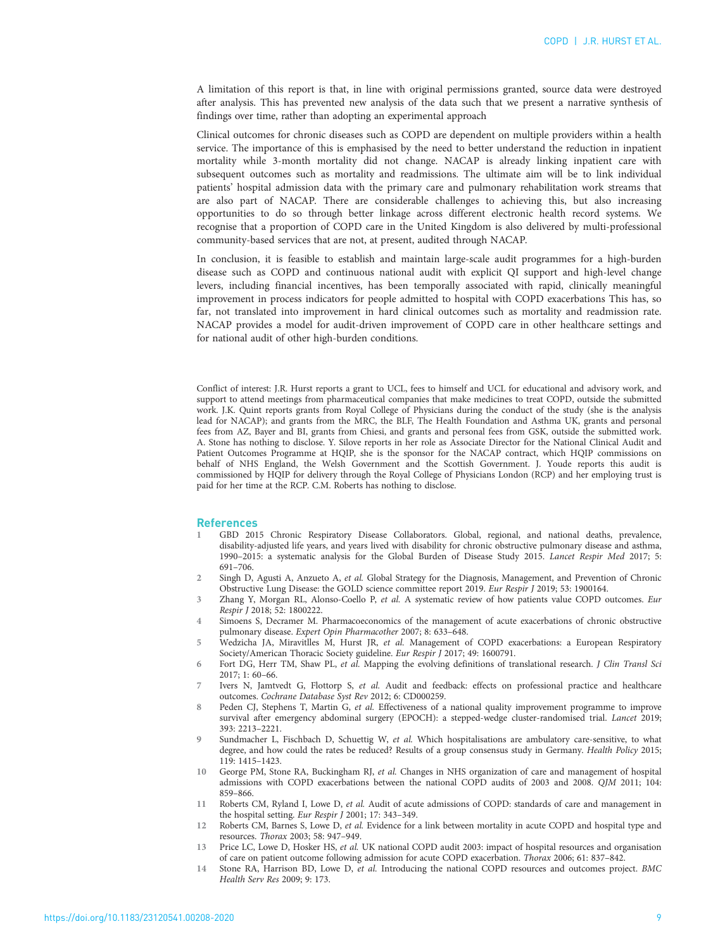<span id="page-8-0"></span>A limitation of this report is that, in line with original permissions granted, source data were destroyed after analysis. This has prevented new analysis of the data such that we present a narrative synthesis of findings over time, rather than adopting an experimental approach

Clinical outcomes for chronic diseases such as COPD are dependent on multiple providers within a health service. The importance of this is emphasised by the need to better understand the reduction in inpatient mortality while 3-month mortality did not change. NACAP is already linking inpatient care with subsequent outcomes such as mortality and readmissions. The ultimate aim will be to link individual patients' hospital admission data with the primary care and pulmonary rehabilitation work streams that are also part of NACAP. There are considerable challenges to achieving this, but also increasing opportunities to do so through better linkage across different electronic health record systems. We recognise that a proportion of COPD care in the United Kingdom is also delivered by multi-professional community-based services that are not, at present, audited through NACAP.

In conclusion, it is feasible to establish and maintain large-scale audit programmes for a high-burden disease such as COPD and continuous national audit with explicit QI support and high-level change levers, including financial incentives, has been temporally associated with rapid, clinically meaningful improvement in process indicators for people admitted to hospital with COPD exacerbations This has, so far, not translated into improvement in hard clinical outcomes such as mortality and readmission rate. NACAP provides a model for audit-driven improvement of COPD care in other healthcare settings and for national audit of other high-burden conditions.

Conflict of interest: J.R. Hurst reports a grant to UCL, fees to himself and UCL for educational and advisory work, and support to attend meetings from pharmaceutical companies that make medicines to treat COPD, outside the submitted work. J.K. Quint reports grants from Royal College of Physicians during the conduct of the study (she is the analysis lead for NACAP); and grants from the MRC, the BLF, The Health Foundation and Asthma UK, grants and personal fees from AZ, Bayer and BI, grants from Chiesi, and grants and personal fees from GSK, outside the submitted work. A. Stone has nothing to disclose. Y. Silove reports in her role as Associate Director for the National Clinical Audit and Patient Outcomes Programme at HQIP, she is the sponsor for the NACAP contract, which HQIP commissions on behalf of NHS England, the Welsh Government and the Scottish Government. J. Youde reports this audit is commissioned by HQIP for delivery through the Royal College of Physicians London (RCP) and her employing trust is paid for her time at the RCP. C.M. Roberts has nothing to disclose.

### References

- 1 GBD 2015 Chronic Respiratory Disease Collaborators. Global, regional, and national deaths, prevalence, disability-adjusted life years, and years lived with disability for chronic obstructive pulmonary disease and asthma, 1990–2015: a systematic analysis for the Global Burden of Disease Study 2015. Lancet Respir Med 2017; 5: 691–706.
- 2 Singh D, Agusti A, Anzueto A, et al. Global Strategy for the Diagnosis, Management, and Prevention of Chronic Obstructive Lung Disease: the GOLD science committee report 2019. Eur Respir J 2019; 53: 1900164.
- 3 Zhang Y, Morgan RL, Alonso-Coello P, et al. A systematic review of how patients value COPD outcomes. Eur Respir J 2018; 52: 1800222.
- 4 Simoens S, Decramer M. Pharmacoeconomics of the management of acute exacerbations of chronic obstructive pulmonary disease. Expert Opin Pharmacother 2007; 8: 633–648.
- 5 Wedzicha JA, Miravitlles M, Hurst JR, et al. Management of COPD exacerbations: a European Respiratory Society/American Thoracic Society guideline. Eur Respir J 2017; 49: 1600791.
- 6 Fort DG, Herr TM, Shaw PL, et al. Mapping the evolving definitions of translational research. J Clin Transl Sci 2017; 1: 60–66.
- 7 Ivers N, Jamtvedt G, Flottorp S, et al. Audit and feedback: effects on professional practice and healthcare outcomes. Cochrane Database Syst Rev 2012; 6: CD000259.
- 8 Peden CJ, Stephens T, Martin G, et al. Effectiveness of a national quality improvement programme to improve survival after emergency abdominal surgery (EPOCH): a stepped-wedge cluster-randomised trial. Lancet 2019; 393: 2213–2221.
- 9 Sundmacher L, Fischbach D, Schuettig W, et al. Which hospitalisations are ambulatory care-sensitive, to what degree, and how could the rates be reduced? Results of a group consensus study in Germany. Health Policy 2015; 119: 1415–1423.
- 10 George PM, Stone RA, Buckingham RJ, et al. Changes in NHS organization of care and management of hospital admissions with COPD exacerbations between the national COPD audits of 2003 and 2008. QJM 2011; 104: 859–866.
- 11 Roberts CM, Ryland I, Lowe D, et al. Audit of acute admissions of COPD: standards of care and management in the hospital setting. Eur Respir J 2001; 17: 343–349.
- 12 Roberts CM, Barnes S, Lowe D, et al. Evidence for a link between mortality in acute COPD and hospital type and resources. Thorax 2003; 58: 947–949.
- 13 Price LC, Lowe D, Hosker HS, et al. UK national COPD audit 2003: impact of hospital resources and organisation of care on patient outcome following admission for acute COPD exacerbation. Thorax 2006; 61: 837–842.
- 14 Stone RA, Harrison BD, Lowe D, et al. Introducing the national COPD resources and outcomes project. BMC Health Serv Res 2009; 9: 173.